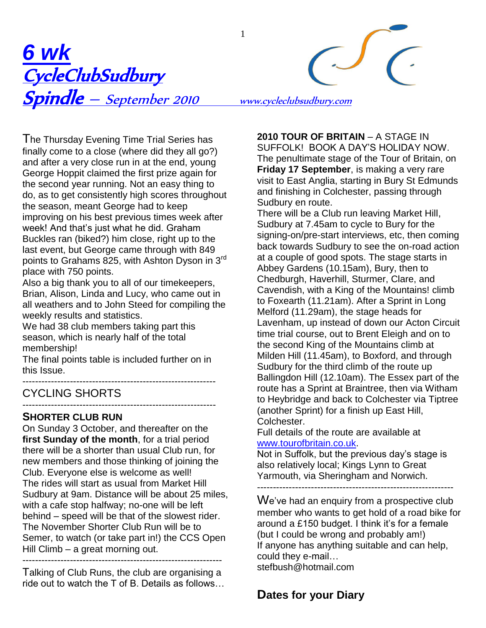

The Thursday Evening Time Trial Series has finally come to a close (where did they all go?) and after a very close run in at the end, young George Hoppit claimed the first prize again for the second year running. Not an easy thing to do, as to get consistently high scores throughout the season, meant George had to keep improving on his best previous times week after week! And that's just what he did. Graham Buckles ran (biked?) him close, right up to the last event, but George came through with 849 points to Grahams 825, with Ashton Dyson in 3<sup>rd</sup> place with 750 points.

Also a big thank you to all of our timekeepers, Brian, Alison, Linda and Lucy, who came out in all weathers and to John Steed for compiling the weekly results and statistics.

We had 38 club members taking part this season, which is nearly half of the total membership!

The final points table is included further on in this Issue.

------------------------------------------------------------- CYCLING SHORTS

#### ------------------------------------------------------------- **SHORTER CLUB RUN**

On Sunday 3 October, and thereafter on the **first Sunday of the month**, for a trial period there will be a shorter than usual Club run, for new members and those thinking of joining the Club. Everyone else is welcome as well! The rides will start as usual from Market Hill Sudbury at 9am. Distance will be about 25 miles, with a cafe stop halfway; no-one will be left behind – speed will be that of the slowest rider. The November Shorter Club Run will be to Semer, to watch (or take part in!) the CCS Open Hill Climb – a great morning out. ---------------------------------------------------------------

Talking of Club Runs, the club are organising a ride out to watch the T of B. Details as follows… **2010 TOUR OF BRITAIN** – A STAGE IN SUFFOLK! BOOK A DAY"S HOLIDAY NOW. The penultimate stage of the Tour of Britain, on **Friday 17 September**, is making a very rare visit to East Anglia, starting in Bury St Edmunds and finishing in Colchester, passing through Sudbury en route.

There will be a Club run leaving Market Hill, Sudbury at 7.45am to cycle to Bury for the signing-on/pre-start interviews, etc, then coming back towards Sudbury to see the on-road action at a couple of good spots. The stage starts in Abbey Gardens (10.15am), Bury, then to Chedburgh, Haverhill, Sturmer, Clare, and Cavendish, with a King of the Mountains! climb to Foxearth (11.21am). After a Sprint in Long Melford (11.29am), the stage heads for Lavenham, up instead of down our Acton Circuit time trial course, out to Brent Eleigh and on to the second King of the Mountains climb at Milden Hill (11.45am), to Boxford, and through Sudbury for the third climb of the route up Ballingdon Hill (12.10am). The Essex part of the route has a Sprint at Braintree, then via Witham to Heybridge and back to Colchester via Tiptree (another Sprint) for a finish up East Hill, Colchester.

Full details of the route are available at [www.tourofbritain.co.uk.](http://www.tourofbritain.co.uk/)

Not in Suffolk, but the previous day's stage is also relatively local; Kings Lynn to Great Yarmouth, via Sheringham and Norwich.

--------------------------------------------------------------

We've had an enquiry from a prospective club member who wants to get hold of a road bike for around a £150 budget. I think it"s for a female (but I could be wrong and probably am!) If anyone has anything suitable and can help, could they e-mail… stefbush@hotmail.com

# **Dates for your Diary**

1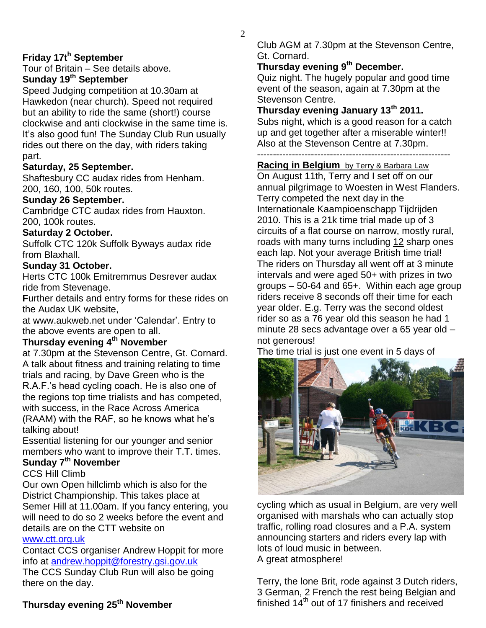# **Friday 17t<sup>h</sup> September**

Tour of Britain – See details above.

# **Sunday 19th September**

Speed Judging competition at 10.30am at Hawkedon (near church). Speed not required but an ability to ride the same (short!) course clockwise and anti clockwise in the same time is. It"s also good fun! The Sunday Club Run usually rides out there on the day, with riders taking part.

#### **Saturday, 25 September.**

Shaftesbury CC audax rides from Henham. 200, 160, 100, 50k routes.

#### **Sunday 26 September.**

Cambridge CTC audax rides from Hauxton. 200, 100k routes.

### **Saturday 2 October.**

Suffolk CTC 120k Suffolk Byways audax ride from Blaxhall.

### **Sunday 31 October.**

Herts CTC 100k Emitremmus Desrever audax ride from Stevenage.

**F**urther details and entry forms for these rides on the Audax UK website,

at [www.aukweb.net](http://www.aukweb.net/index2.htm) under "Calendar". Entry to the above events are open to all.

### **Thursday evening 4th November**

at 7.30pm at the Stevenson Centre, Gt. Cornard. A talk about fitness and training relating to time trials and racing, by Dave Green who is the R.A.F."s head cycling coach. He is also one of the regions top time trialists and has competed, with success, in the Race Across America (RAAM) with the RAF, so he knows what he"s talking about!

Essential listening for our younger and senior members who want to improve their T.T. times.

# **Sunday 7th November**

CCS Hill Climb

Our own Open hillclimb which is also for the District Championship. This takes place at Semer Hill at 11.00am. If you fancy entering, you will need to do so 2 weeks before the event and details are on the CTT website on [www.ctt.org.uk](http://www.ctt.org.uk/) 

Contact CCS organiser Andrew Hoppit for more info at [andrew.hoppit@forestry.gsi.gov.uk](mailto:andrew.hoppit@forestry.gsi.gov.uk) The CCS Sunday Club Run will also be going there on the day.

# **Thursday evening 25th November**

Club AGM at 7.30pm at the Stevenson Centre, Gt. Cornard.

# **Thursday evening 9th December.**

Quiz night. The hugely popular and good time event of the season, again at 7.30pm at the Stevenson Centre.

# **Thursday evening January 13th 2011.**

Subs night, which is a good reason for a catch up and get together after a miserable winter!! Also at the Stevenson Centre at 7.30pm. -------------------------------------------------------------

#### **Racing in Belgium** by Terry & Barbara Law

On August 11th, Terry and I set off on our annual pilgrimage to Woesten in West Flanders. Terry competed the next day in the Internationale Kaampioenschapp Tijdrijden 2010. This is a 21k time trial made up of 3 circuits of a flat course on narrow, mostly rural, roads with many turns including 12 sharp ones each lap. Not your average British time trial! The riders on Thursday all went off at 3 minute intervals and were aged 50+ with prizes in two groups – 50-64 and 65+. Within each age group riders receive 8 seconds off their time for each year older. E.g. Terry was the second oldest rider so as a 76 year old this season he had 1 minute 28 secs advantage over a 65 year old – not generous!

The time trial is just one event in 5 days of



cycling which as usual in Belgium, are very well organised with marshals who can actually stop traffic, rolling road closures and a P.A. system announcing starters and riders every lap with lots of loud music in between. A great atmosphere!

Terry, the lone Brit, rode against 3 Dutch riders, 3 German, 2 French the rest being Belgian and finished  $14<sup>th</sup>$  out of 17 finishers and received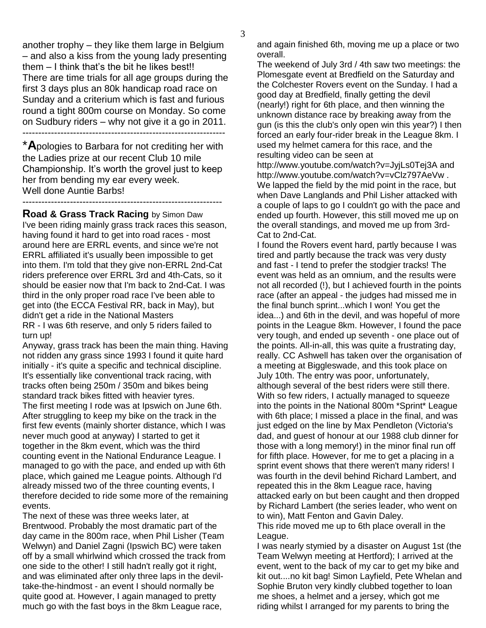another trophy – they like them large in Belgium – and also a kiss from the young lady presenting them – I think that"s the bit he likes best!! There are time trials for all age groups during the first 3 days plus an 80k handicap road race on Sunday and a criterium which is fast and furious round a tight 800m course on Monday. So come on Sudbury riders – why not give it a go in 2011. ----------------------------------------------------------------

\***A**pologies to Barbara for not crediting her with the Ladies prize at our recent Club 10 mile Championship. It"s worth the grovel just to keep her from bending my ear every week. Well done Auntie Barbs!

---------------------------------------------------------------

**Road & Grass Track Racing** by Simon Daw I've been riding mainly grass track races this season, having found it hard to get into road races - most around here are ERRL events, and since we're not ERRL affiliated it's usually been impossible to get into them. I'm told that they give non-ERRL 2nd-Cat riders preference over ERRL 3rd and 4th-Cats, so it should be easier now that I'm back to 2nd-Cat. I was third in the only proper road race I've been able to get into (the ECCA Festival RR, back in May), but didn't get a ride in the National Masters RR - I was 6th reserve, and only 5 riders failed to turn up!

Anyway, grass track has been the main thing. Having not ridden any grass since 1993 I found it quite hard initially - it's quite a specific and technical discipline. It's essentially like conventional track racing, with tracks often being 250m / 350m and bikes being standard track bikes fitted with heavier tyres. The first meeting I rode was at Ipswich on June 6th. After struggling to keep my bike on the track in the first few events (mainly shorter distance, which I was never much good at anyway) I started to get it together in the 8km event, which was the third counting event in the National Endurance League. I managed to go with the pace, and ended up with 6th place, which gained me League points. Although I'd already missed two of the three counting events, I therefore decided to ride some more of the remaining events.

The next of these was three weeks later, at Brentwood. Probably the most dramatic part of the day came in the 800m race, when Phil Lisher (Team Welwyn) and Daniel Zagni (Ipswich BC) were taken off by a small whirlwind which crossed the track from one side to the other! I still hadn't really got it right, and was eliminated after only three laps in the deviltake-the-hindmost - an event I should normally be quite good at. However, I again managed to pretty much go with the fast boys in the 8km League race,

and again finished 6th, moving me up a place or two overall.

The weekend of July 3rd / 4th saw two meetings: the Plomesgate event at Bredfield on the Saturday and the Colchester Rovers event on the Sunday. I had a good day at Bredfield, finally getting the devil (nearly!) right for 6th place, and then winning the unknown distance race by breaking away from the gun (is this the club's only open win this year?) I then forced an early four-rider break in the League 8km. I used my helmet camera for this race, and the resulting video can be seen at

http://www.youtube.com/watch?v=JyjLs0Tej3A and http://www.youtube.com/watch?v=vClz797AeVw . We lapped the field by the mid point in the race, but when Dave Langlands and Phil Lisher attacked with a couple of laps to go I couldn't go with the pace and ended up fourth. However, this still moved me up on the overall standings, and moved me up from 3rd-Cat to 2nd-Cat.

I found the Rovers event hard, partly because I was tired and partly because the track was very dusty and fast - I tend to prefer the stodgier tracks! The event was held as an omnium, and the results were not all recorded (!), but I achieved fourth in the points race (after an appeal - the judges had missed me in the final bunch sprint...which I won! You get the idea...) and 6th in the devil, and was hopeful of more points in the League 8km. However, I found the pace very tough, and ended up seventh - one place out of the points. All-in-all, this was quite a frustrating day, really. CC Ashwell has taken over the organisation of a meeting at Biggleswade, and this took place on July 10th. The entry was poor, unfortunately, although several of the best riders were still there. With so few riders, I actually managed to squeeze into the points in the National 800m \*Sprint\* League with 6th place; I missed a place in the final, and was just edged on the line by Max Pendleton (Victoria's dad, and guest of honour at our 1988 club dinner for those with a long memory!) in the minor final run off for fifth place. However, for me to get a placing in a sprint event shows that there weren't many riders! I was fourth in the devil behind Richard Lambert, and repeated this in the 8km League race, having attacked early on but been caught and then dropped by Richard Lambert (the series leader, who went on to win), Matt Fenton and Gavin Daley.

This ride moved me up to 6th place overall in the League.

I was nearly stymied by a disaster on August 1st (the Team Welwyn meeting at Hertford); I arrived at the event, went to the back of my car to get my bike and kit out....no kit bag! Simon Layfield, Pete Whelan and Sophie Bruton very kindly clubbed together to loan me shoes, a helmet and a jersey, which got me riding whilst I arranged for my parents to bring the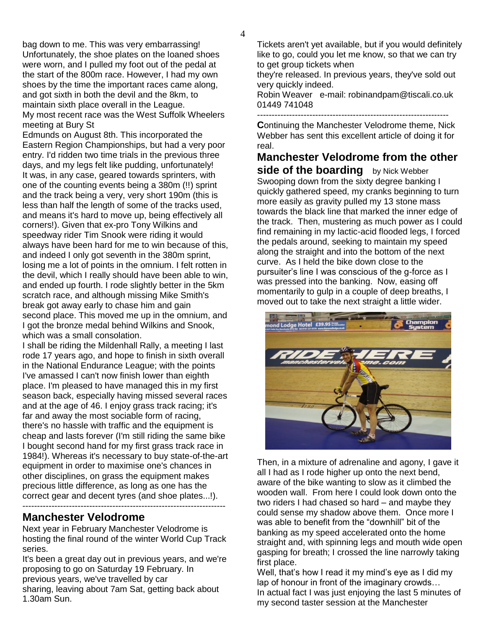bag down to me. This was very embarrassing! Unfortunately, the shoe plates on the loaned shoes were worn, and I pulled my foot out of the pedal at the start of the 800m race. However, I had my own shoes by the time the important races came along, and got sixth in both the devil and the 8km, to maintain sixth place overall in the League. My most recent race was the West Suffolk Wheelers meeting at Bury St

Edmunds on August 8th. This incorporated the Eastern Region Championships, but had a very poor entry. I'd ridden two time trials in the previous three days, and my legs felt like pudding, unfortunately! It was, in any case, geared towards sprinters, with one of the counting events being a 380m (!!) sprint and the track being a very, very short 190m (this is less than half the length of some of the tracks used, and means it's hard to move up, being effectively all corners!). Given that ex-pro Tony Wilkins and speedway rider Tim Snook were riding it would always have been hard for me to win because of this, and indeed I only got seventh in the 380m sprint, losing me a lot of points in the omnium. I felt rotten in the devil, which I really should have been able to win, and ended up fourth. I rode slightly better in the 5km scratch race, and although missing Mike Smith's break got away early to chase him and gain second place. This moved me up in the omnium, and I got the bronze medal behind Wilkins and Snook, which was a small consolation.

I shall be riding the Mildenhall Rally, a meeting I last rode 17 years ago, and hope to finish in sixth overall in the National Endurance League; with the points I've amassed I can't now finish lower than eighth place. I'm pleased to have managed this in my first season back, especially having missed several races and at the age of 46. I enjoy grass track racing; it's far and away the most sociable form of racing, there's no hassle with traffic and the equipment is cheap and lasts forever (I'm still riding the same bike I bought second hand for my first grass track race in 1984!). Whereas it's necessary to buy state-of-the-art equipment in order to maximise one's chances in other disciplines, on grass the equipment makes precious little difference, as long as one has the correct gear and decent tyres (and shoe plates...!).

#### **Manchester Velodrome**

Next year in February Manchester Velodrome is hosting the final round of the winter World Cup Track series.

It's been a great day out in previous years, and we're proposing to go on Saturday 19 February. In previous years, we've travelled by car sharing, leaving about 7am Sat, getting back about 1.30am Sun.

Tickets aren't yet available, but if you would definitely like to go, could you let me know, so that we can try to get group tickets when

they're released. In previous years, they've sold out very quickly indeed.

Robin Weaver e-mail: robinandpam@tiscali.co.uk 01449 741048

------------------------------------------------------------------

**C**ontinuing the Manchester Velodrome theme, Nick Webber has sent this excellent article of doing it for real.

**Manchester Velodrome from the other side of the boarding** by Nick Webber Swooping down from the sixty degree banking I quickly gathered speed, my cranks beginning to turn more easily as gravity pulled my 13 stone mass towards the black line that marked the inner edge of the track. Then, mustering as much power as I could find remaining in my lactic-acid flooded legs, I forced the pedals around, seeking to maintain my speed along the straight and into the bottom of the next curve. As I held the bike down close to the pursuiter"s line I was conscious of the g-force as I was pressed into the banking. Now, easing off momentarily to gulp in a couple of deep breaths, I moved out to take the next straight a little wider.



Then, in a mixture of adrenaline and agony, I gave it all I had as I rode higher up onto the next bend, aware of the bike wanting to slow as it climbed the wooden wall. From here I could look down onto the two riders I had chased so hard – and maybe they could sense my shadow above them. Once more I was able to benefit from the "downhill" bit of the banking as my speed accelerated onto the home straight and, with spinning legs and mouth wide open gasping for breath; I crossed the line narrowly taking first place.

Well, that's how I read it my mind's eye as I did my lap of honour in front of the imaginary crowds… In actual fact I was just enjoying the last 5 minutes of my second taster session at the Manchester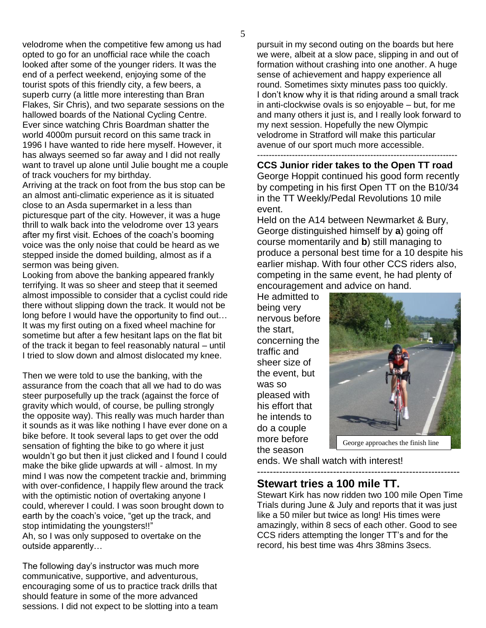velodrome when the competitive few among us had opted to go for an unofficial race while the coach looked after some of the younger riders. It was the end of a perfect weekend, enjoying some of the tourist spots of this friendly city, a few beers, a superb curry (a little more interesting than Bran Flakes, Sir Chris), and two separate sessions on the hallowed boards of the National Cycling Centre. Ever since watching Chris Boardman shatter the world 4000m pursuit record on this same track in 1996 I have wanted to ride here myself. However, it has always seemed so far away and I did not really want to travel up alone until Julie bought me a couple of track vouchers for my birthday.

Arriving at the track on foot from the bus stop can be an almost anti-climatic experience as it is situated close to an Asda supermarket in a less than picturesque part of the city. However, it was a huge thrill to walk back into the velodrome over 13 years after my first visit. Echoes of the coach's booming voice was the only noise that could be heard as we stepped inside the domed building, almost as if a sermon was being given.

Looking from above the banking appeared frankly terrifying. It was so sheer and steep that it seemed almost impossible to consider that a cyclist could ride there without slipping down the track. It would not be long before I would have the opportunity to find out… It was my first outing on a fixed wheel machine for sometime but after a few hesitant laps on the flat bit of the track it began to feel reasonably natural – until I tried to slow down and almost dislocated my knee.

Then we were told to use the banking, with the assurance from the coach that all we had to do was steer purposefully up the track (against the force of gravity which would, of course, be pulling strongly the opposite way). This really was much harder than it sounds as it was like nothing I have ever done on a bike before. It took several laps to get over the odd sensation of fighting the bike to go where it just wouldn"t go but then it just clicked and I found I could make the bike glide upwards at will - almost. In my mind I was now the competent trackie and, brimming with over-confidence, I happily flew around the track with the optimistic notion of overtaking anyone I could, wherever I could. I was soon brought down to earth by the coach"s voice, "get up the track, and stop intimidating the youngsters!!" Ah, so I was only supposed to overtake on the outside apparently…

The following day"s instructor was much more communicative, supportive, and adventurous, encouraging some of us to practice track drills that should feature in some of the more advanced sessions. I did not expect to be slotting into a team pursuit in my second outing on the boards but here we were, albeit at a slow pace, slipping in and out of formation without crashing into one another. A huge sense of achievement and happy experience all round. Sometimes sixty minutes pass too quickly. I don"t know why it is that riding around a small track in anti-clockwise ovals is so enjoyable – but, for me and many others it just is, and I really look forward to my next session. Hopefully the new Olympic velodrome in Stratford will make this particular avenue of our sport much more accessible. ---------------------------------------------------------------------

**CCS Junior rider takes to the Open TT road** George Hoppit continued his good form recently by competing in his first Open TT on the B10/34 in the TT Weekly/Pedal Revolutions 10 mile event.

Held on the A14 between Newmarket & Bury, George distinguished himself by **a**) going off course momentarily and **b**) still managing to produce a personal best time for a 10 despite his earlier mishap. With four other CCS riders also, competing in the same event, he had plenty of encouragement and advice on hand.

He admitted to being very nervous before the start, concerning the traffic and sheer size of the event, but was so pleased with his effort that he intends to do a couple more before the season



ends. We shall watch with interest!

---------------------------------------------------------------- **Stewart tries a 100 mile TT.**

Stewart Kirk has now ridden two 100 mile Open Time Trials during June & July and reports that it was just like a 50 miler but twice as long! His times were amazingly, within 8 secs of each other. Good to see CCS riders attempting the longer TT"s and for the record, his best time was 4hrs 38mins 3secs.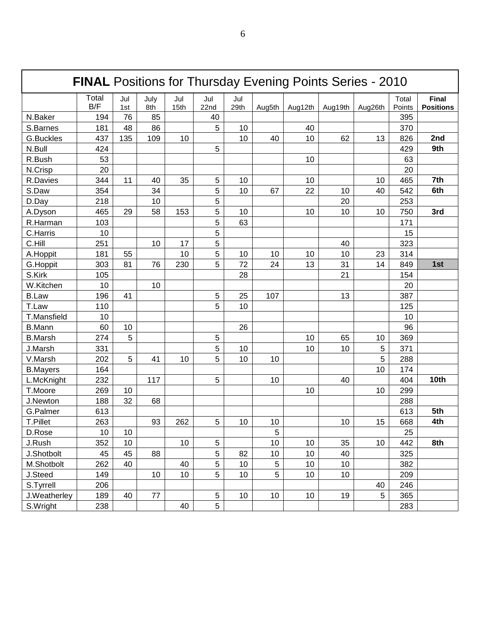| <b>FINAL Positions for Thursday Evening Points Series - 2010</b> |              |            |             |             |             |             |        |                 |                 |         |                 |                                  |
|------------------------------------------------------------------|--------------|------------|-------------|-------------|-------------|-------------|--------|-----------------|-----------------|---------|-----------------|----------------------------------|
|                                                                  | Total<br>B/F | Jul<br>1st | July<br>8th | Jul<br>15th | Jul<br>22nd | Jul<br>29th | Aug5th | Aug12th         | Aug19th         | Aug26th | Total<br>Points | <b>Final</b><br><b>Positions</b> |
| N.Baker                                                          | 194          | 76         | 85          |             | 40          |             |        |                 |                 |         | 395             |                                  |
| S.Barnes                                                         | 181          | 48         | 86          |             | 5           | 10          |        | 40              |                 |         | 370             |                                  |
| <b>G.Buckles</b>                                                 | 437          | 135        | 109         | 10          |             | 10          | 40     | 10              | 62              | 13      | 826             | 2nd                              |
| N.Bull                                                           | 424          |            |             |             | 5           |             |        |                 |                 |         | 429             | 9th                              |
| R.Bush                                                           | 53           |            |             |             |             |             |        | 10              |                 |         | 63              |                                  |
| N.Crisp                                                          | 20           |            |             |             |             |             |        |                 |                 |         | 20              |                                  |
| R.Davies                                                         | 344          | 11         | 40          | 35          | 5           | 10          |        | 10              |                 | 10      | 465             | 7th                              |
| S.Daw                                                            | 354          |            | 34          |             | 5           | 10          | 67     | 22              | 10              | 40      | 542             | 6th                              |
| D.Day                                                            | 218          |            | 10          |             | 5           |             |        |                 | 20              |         | 253             |                                  |
| A.Dyson                                                          | 465          | 29         | 58          | 153         | 5           | 10          |        | 10              | 10              | 10      | 750             | 3rd                              |
| R.Harman                                                         | 103          |            |             |             | 5           | 63          |        |                 |                 |         | 171             |                                  |
| C.Harris                                                         | 10           |            |             |             | 5           |             |        |                 |                 |         | 15              |                                  |
| C.Hill                                                           | 251          |            | 10          | 17          | 5           |             |        |                 | 40              |         | 323             |                                  |
| A.Hoppit                                                         | 181          | 55         |             | 10          | 5           | 10          | 10     | 10              | 10              | 23      | 314             |                                  |
| G.Hoppit                                                         | 303          | 81         | 76          | 230         | 5           | 72          | 24     | 13              | 31              | 14      | 849             | 1st                              |
| S.Kirk                                                           | 105          |            |             |             |             | 28          |        |                 | 21              |         | 154             |                                  |
| W.Kitchen                                                        | 10           |            | 10          |             |             |             |        |                 |                 |         | 20              |                                  |
| <b>B.Law</b>                                                     | 196          | 41         |             |             | 5           | 25          | 107    |                 | 13              |         | 387             |                                  |
| T.Law                                                            | 110          |            |             |             | 5           | 10          |        |                 |                 |         | 125             |                                  |
| <b>T.Mansfield</b>                                               | 10           |            |             |             |             |             |        |                 |                 |         | 10              |                                  |
| <b>B.Mann</b>                                                    | 60           | 10         |             |             |             | 26          |        |                 |                 |         | 96              |                                  |
| <b>B.Marsh</b>                                                   | 274          | 5          |             |             | 5           |             |        | 10              | 65              | 10      | 369             |                                  |
| J.Marsh                                                          | 331          |            |             |             | 5           | 10          |        | 10              | 10              | 5       | 371             |                                  |
| V.Marsh                                                          | 202          | 5          | 41          | 10          | 5           | 10          | 10     |                 |                 | 5       | 288             |                                  |
| <b>B.Mayers</b>                                                  | 164          |            |             |             |             |             |        |                 |                 | 10      | 174             |                                  |
| L.McKnight                                                       | 232          |            | 117         |             | 5           |             | 10     |                 | 40              |         | 404             | 10th                             |
| T.Moore                                                          | 269          | 10         |             |             |             |             |        | 10              |                 | 10      | 299             |                                  |
| J.Newton                                                         | 188          | 32         | 68          |             |             |             |        |                 |                 |         | 288             |                                  |
| G.Palmer                                                         | 613          |            |             |             |             |             |        |                 |                 |         | 613             | 5th                              |
| T.Pillet                                                         | 263          |            | 93          | 262         | 5           | 10          | 10     |                 | 10              | 15      | 668             | 4th                              |
| D.Rose                                                           | 10           | 10         |             |             |             |             | 5      |                 |                 |         | 25              |                                  |
| J.Rush                                                           | 352          | 10         |             | 10          | 5           |             | 10     | 10              | 35              | 10      | 442             | 8th                              |
| J.Shotbolt                                                       | 45           | 45         | 88          |             | 5           | 82          | 10     | 10              | 40              |         | 325             |                                  |
| M.Shotbolt                                                       | 262          | 40         |             | 40          | 5           | 10          | 5      | 10              | 10              |         | 382             |                                  |
| J.Steed                                                          | 149          |            | 10          | 10          | 5           | 10          | 5      | 10              | 10 <sub>1</sub> |         | 209             |                                  |
| S.Tyrrell                                                        | 206          |            |             |             |             |             |        |                 |                 | 40      | 246             |                                  |
| J.Weatherley                                                     | 189          | 40         | 77          |             | 5           | 10          | 10     | 10 <sup>1</sup> | 19              | 5       | 365             |                                  |
| S.Wright                                                         | 238          |            |             | 40          | 5           |             |        |                 |                 |         | 283             |                                  |